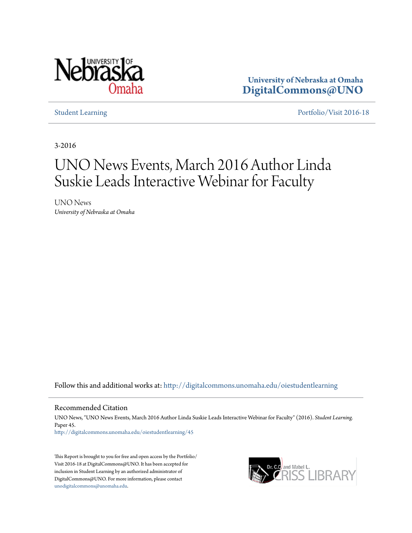

**University of Nebraska at Omaha [DigitalCommons@UNO](http://digitalcommons.unomaha.edu?utm_source=digitalcommons.unomaha.edu%2Foiestudentlearning%2F45&utm_medium=PDF&utm_campaign=PDFCoverPages)**

[Student Learning](http://digitalcommons.unomaha.edu/oiestudentlearning?utm_source=digitalcommons.unomaha.edu%2Foiestudentlearning%2F45&utm_medium=PDF&utm_campaign=PDFCoverPages) [Portfolio/Visit 2016-18](http://digitalcommons.unomaha.edu/oieportfolio?utm_source=digitalcommons.unomaha.edu%2Foiestudentlearning%2F45&utm_medium=PDF&utm_campaign=PDFCoverPages)

3-2016

## UNO News Events, March 2016 Author Linda Suskie Leads Interactive Webinar for Faculty

UNO News *University of Nebraska at Omaha*

Follow this and additional works at: [http://digitalcommons.unomaha.edu/oiestudentlearning](http://digitalcommons.unomaha.edu/oiestudentlearning?utm_source=digitalcommons.unomaha.edu%2Foiestudentlearning%2F45&utm_medium=PDF&utm_campaign=PDFCoverPages)

Recommended Citation

UNO News, "UNO News Events, March 2016 Author Linda Suskie Leads Interactive Webinar for Faculty" (2016). *Student Learning.* Paper 45. [http://digitalcommons.unomaha.edu/oiestudentlearning/45](http://digitalcommons.unomaha.edu/oiestudentlearning/45?utm_source=digitalcommons.unomaha.edu%2Foiestudentlearning%2F45&utm_medium=PDF&utm_campaign=PDFCoverPages)

This Report is brought to you for free and open access by the Portfolio/ Visit 2016-18 at DigitalCommons@UNO. It has been accepted for inclusion in Student Learning by an authorized administrator of DigitalCommons@UNO. For more information, please contact [unodigitalcommons@unomaha.edu](mailto:unodigitalcommons@unomaha.edu).